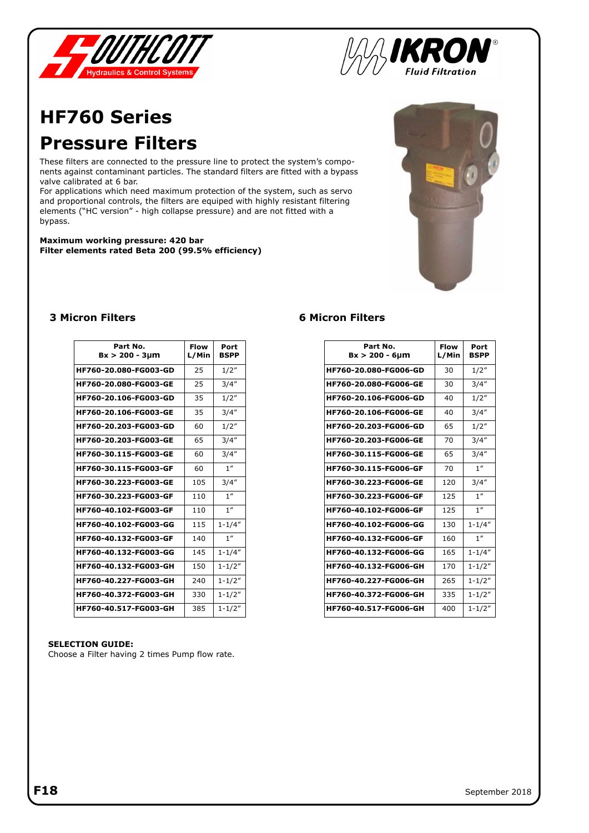



## **HF760 Series Pressure Filters**

These filters are connected to the pressure line to protect the system's components against contaminant particles. The standard filters are fitted with a bypass valve calibrated at 6 bar.

For applications which need maximum protection of the system, such as servo and proportional controls, the filters are equiped with highly resistant filtering elements ("HC version" - high collapse pressure) and are not fitted with a bypass.

**Maximum working pressure: 420 bar Filter elements rated Beta 200 (99.5% efficiency)**



### **3 Micron Filters 6 Micron Filters**

| Part No.<br>$Bx > 200 - 3 \mu m$ | Flow<br>L/Min | Port<br><b>BSPP</b> |
|----------------------------------|---------------|---------------------|
| HF760-20.080-FG003-GD            | 25            | 1/2"                |
| HF760-20.080-FG003-GE            | 25            | 3/4''               |
| HF760-20.106-FG003-GD            | 35            | 1/2"                |
| HF760-20.106-FG003-GE            | 35            | 3/4''               |
| HF760-20.203-FG003-GD            | 60            | 1/2"                |
| HF760-20.203-FG003-GE            | 65            | 3/4''               |
| HF760-30.115-FG003-GE            | 60            | 3/4''               |
| HF760-30.115-FG003-GF            | 60            | 1 <sup>''</sup>     |
| HF760-30.223-FG003-GE            | 105           | 3/4''               |
| HF760-30.223-FG003-GF            | 110           | 1''                 |
| HF760-40.102-FG003-GF            | 110           | 1''                 |
| HF760-40.102-FG003-GG            | 115           | $1 - 1/4"$          |
| HF760-40.132-FG003-GF            | 140           | 1''                 |
| HF760-40.132-FG003-GG            | 145           | $1 - 1/4"$          |
| HF760-40.132-FG003-GH            | 150           | $1 - 1/2"$          |
| HF760-40.227-FG003-GH            | 240           | $1 - 1/2"$          |
| HF760-40.372-FG003-GH            | 330           | $1 - 1/2"$          |
| HF760-40.517-FG003-GH            | 385           | $1 - 1/2"$          |

| Part No.<br>$Bx > 200 - 6 \mu m$ | <b>Flow</b><br>L/Min | Port<br><b>BSPP</b> |
|----------------------------------|----------------------|---------------------|
| HF760-20.080-FG006-GD            | 30                   | 1/2"                |
| HF760-20.080-FG006-GE            | 30                   | 3/4''               |
| <b>HF760-20.106-FG006-GD</b>     | 40                   | 1/2"                |
| HF760-20.106-FG006-GE            | 40                   | 3/4''               |
| HF760-20.203-FG006-GD            | 65                   | 1/2"                |
| HF760-20.203-FG006-GE            | 70                   | 3/4''               |
| HF760-30.115-FG006-GE            | 65                   | 3/4''               |
| HF760-30.115-FG006-GF            | 70                   | 1''                 |
| HF760-30.223-FG006-GE            | 120                  | 3/4''               |
| HF760-30.223-FG006-GF            | 125                  | 1''                 |
| <b>HF760-40.102-FG006-GF</b>     | 125                  | 1''                 |
| HF760-40.102-FG006-GG            | 130                  | $1 - 1/4"$          |
| HF760-40.132-FG006-GF            | 160                  | 1''                 |
| HF760-40.132-FG006-GG            | 165                  | $1 - 1/4"$          |
| HF760-40.132-FG006-GH            | 170                  | $1 - 1/2"$          |
| HF760-40.227-FG006-GH            | 265                  | $1 - 1/2"$          |
| HF760-40.372-FG006-GH            | 335                  | $1 - 1/2"$          |
| HF760-40.517-FG006-GH            | 400                  | $1 - 1/2"$          |

#### **SELECTION GUIDE:**

Choose a Filter having 2 times Pump flow rate.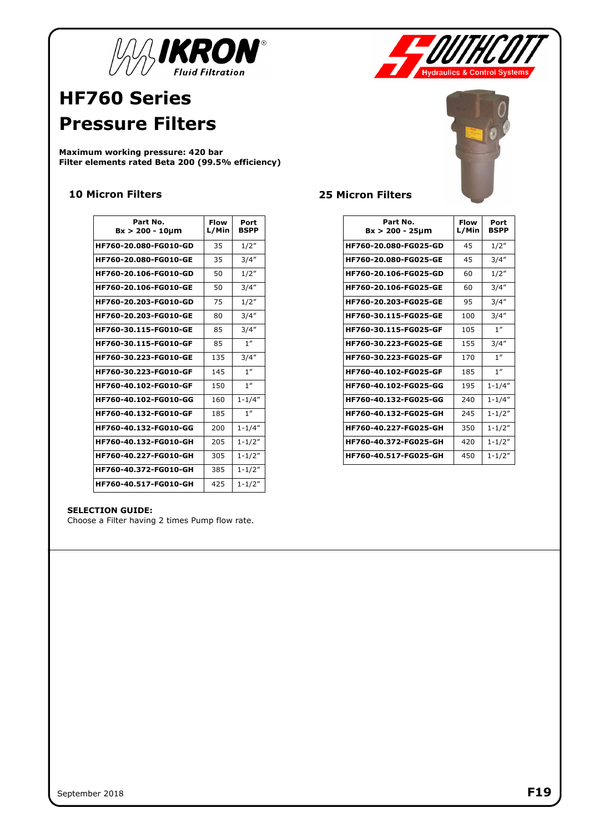



## **HF760 Series Pressure Filters**

**Maximum working pressure: 420 bar Filter elements rated Beta 200 (99.5% efficiency)**

### **10 Micron Filters 25 Micron Filters**

| Part No.<br>$Bx > 200 - 10 \mu m$ | Flow<br>L/Min | Port<br><b>BSPP</b> |
|-----------------------------------|---------------|---------------------|
| HF760-20.080-FG010-GD             | 35            | 1/2"                |
| HF760-20.080-FG010-GE             | 35            | 3/4''               |
| HF760-20.106-FG010-GD             | 50            | 1/2"                |
| HF760-20.106-FG010-GE             | 50            | 3/4''               |
| HF760-20.203-FG010-GD             | 75            | 1/2"                |
| HF760-20.203-FG010-GE             | 80            | 3/4''               |
| HF760-30.115-FG010-GE             | 85            | 3/4''               |
| HF760-30.115-FG010-GF             | 85            | 1''                 |
| HF760-30.223-FG010-GE             | 135           | 3/4''               |
| HF760-30.223-FG010-GF             | 145           | 1''                 |
| HF760-40.102-FG010-GF             | 150           | 1 <sup>''</sup>     |
| HF760-40.102-FG010-GG             | 160           | $1 - 1/4"$          |
| HF760-40.132-FG010-GF             | 185           | 1 <sup>''</sup>     |
| HF760-40.132-FG010-GG             | 200           | $1 - 1/4"$          |
| HF760-40.132-FG010-GH             | 205           | $1 - 1/2"$          |
| HF760-40.227-FG010-GH             | 305           | $1 - 1/2"$          |
| HF760-40.372-FG010-GH             | 385           | $1 - 1/2"$          |
| HF760-40.517-FG010-GH             | 425           | $1 - 1/2"$          |

#### **SELECTION GUIDE:**

Choose a Filter having 2 times Pump flow rate.



| Part No.                     | Flow  |                     |
|------------------------------|-------|---------------------|
| $Bx > 200 - 25 \mu m$        | L/Min | Port<br><b>BSPP</b> |
| HF760-20.080-FG025-GD        | 45    | 1/2"                |
| HF760-20.080-FG025-GE        | 45    | 3/4''               |
| HF760-20.106-FG025-GD        | 60    | 1/2"                |
| HF760-20.106-FG025-GE        | 60    | 3/4''               |
| <b>HF760-20.203-FG025-GE</b> | 95    | 3/4''               |
| HF760-30.115-FG025-GE        | 100   | 3/4''               |
| HF760-30.115-FG025-GF        | 105   | 1''                 |
| HF760-30.223-FG025-GE        | 155   | 3/4''               |
| HF760-30.223-FG025-GF        | 170   | 1''                 |
| HF760-40.102-FG025-GF        | 185   | 1 <sup>''</sup>     |
| HF760-40.102-FG025-GG        | 195   | $1 - 1/4"$          |
| HF760-40.132-FG025-GG        | 240   | $1 - 1/4"$          |
| HF760-40.132-FG025-GH        | 245   | $1 - 1/2"$          |
| HF760-40.227-FG025-GH        | 350   | $1 - 1/2"$          |
| HF760-40.372-FG025-GH        | 420   | $1 - 1/2"$          |
| HF760-40.517-FG025-GH        | 450   | $1 - 1/2"$          |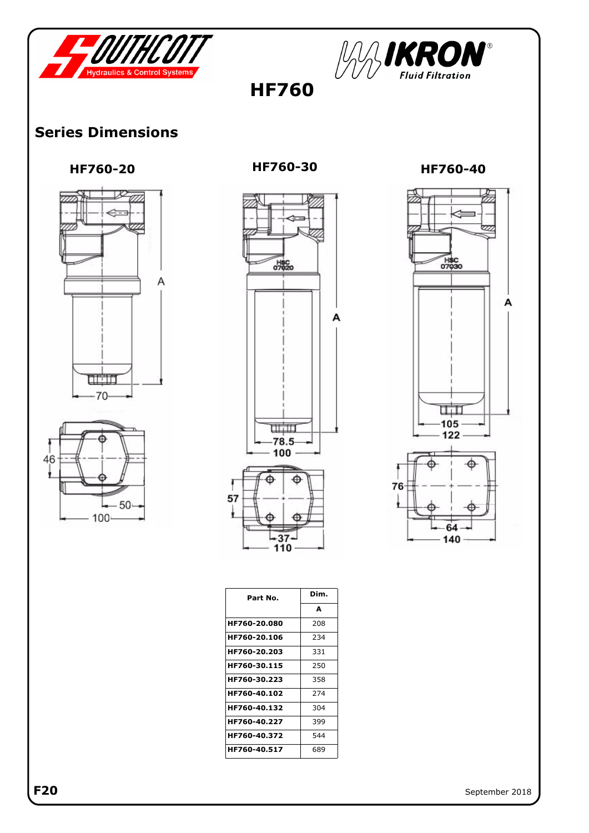



 **HF760** 

### **Series Dimensions**







H\$C<br>07030 А  $\overline{\mathbb{H}}$  $-105$  $122 -$ 76 64  $-140$ 

| Part No.     | Dim. |
|--------------|------|
|              | A    |
| HF760-20.080 | 208  |
| HF760-20.106 | 234  |
| HF760-20.203 | 331  |
| HF760-30.115 | 250  |
| HF760-30.223 | 358  |
| HF760-40.102 | 274  |
| HF760-40.132 | 304  |
| HF760-40.227 | 399  |
| HF760-40.372 | 544  |
| HF760-40.517 | 689  |

F20 September 2018